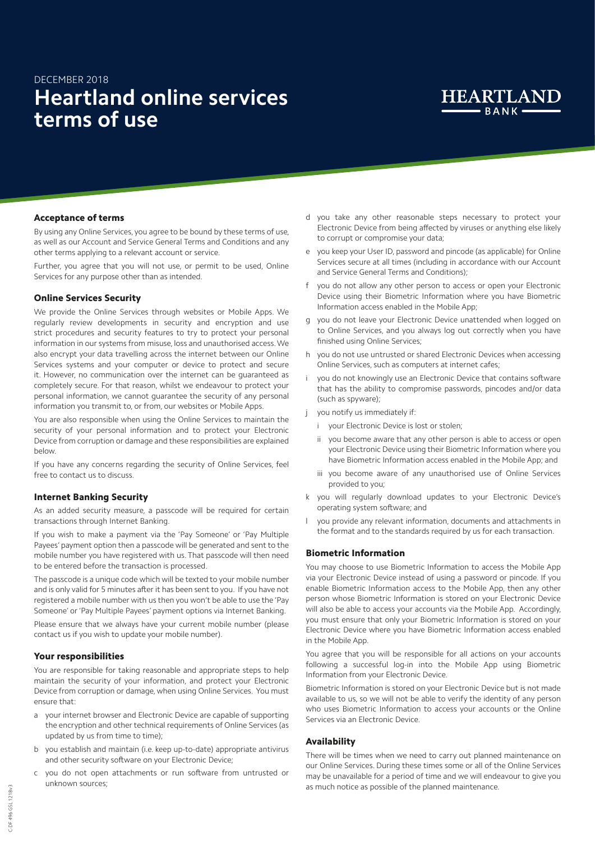# DECEMBER 2018 **Heartland online services terms of use**



## Acceptance of terms

By using any Online Services, you agree to be bound by these terms of use, as well as our Account and Service General Terms and Conditions and any other terms applying to a relevant account or service.

Further, you agree that you will not use, or permit to be used, Online Services for any purpose other than as intended.

## Online Services Security

We provide the Online Services through websites or Mobile Apps. We regularly review developments in security and encryption and use strict procedures and security features to try to protect your personal information in our systems from misuse, loss and unauthorised access. We also encrypt your data travelling across the internet between our Online Services systems and your computer or device to protect and secure it. However, no communication over the internet can be guaranteed as completely secure. For that reason, whilst we endeavour to protect your personal information, we cannot guarantee the security of any personal information you transmit to, or from, our websites or Mobile Apps.

You are also responsible when using the Online Services to maintain the security of your personal information and to protect your Electronic Device from corruption or damage and these responsibilities are explained below.

If you have any concerns regarding the security of Online Services, feel free to contact us to discuss.

## Internet Banking Security

As an added security measure, a passcode will be required for certain transactions through Internet Banking.

If you wish to make a payment via the 'Pay Someone' or 'Pay Multiple Payees' payment option then a passcode will be generated and sent to the mobile number you have registered with us. That passcode will then need to be entered before the transaction is processed.

The passcode is a unique code which will be texted to your mobile number and is only valid for 5 minutes after it has been sent to you. If you have not registered a mobile number with us then you won't be able to use the 'Pay Someone' or 'Pay Multiple Payees' payment options via Internet Banking.

Please ensure that we always have your current mobile number (please contact us if you wish to update your mobile number).

#### Your responsibilities

You are responsible for taking reasonable and appropriate steps to help maintain the security of your information, and protect your Electronic Device from corruption or damage, when using Online Services. You must ensure that:

- a your internet browser and Electronic Device are capable of supporting the encryption and other technical requirements of Online Services (as updated by us from time to time);
- b you establish and maintain (i.e. keep up-to-date) appropriate antivirus and other security software on your Electronic Device;
- c you do not open attachments or run software from untrusted or unknown sources;
- d you take any other reasonable steps necessary to protect your Electronic Device from being affected by viruses or anything else likely to corrupt or compromise your data;
- e you keep your User ID, password and pincode (as applicable) for Online Services secure at all times (including in accordance with our Account and Service General Terms and Conditions);
- you do not allow any other person to access or open your Electronic Device using their Biometric Information where you have Biometric Information access enabled in the Mobile App;
- g you do not leave your Electronic Device unattended when logged on to Online Services, and you always log out correctly when you have finished using Online Services;
- h you do not use untrusted or shared Electronic Devices when accessing Online Services, such as computers at internet cafes;
- you do not knowingly use an Electronic Device that contains software that has the ability to compromise passwords, pincodes and/or data (such as spyware);
- you notify us immediately if:
	- vour Electronic Device is lost or stolen;
	- ii you become aware that any other person is able to access or open your Electronic Device using their Biometric Information where you have Biometric Information access enabled in the Mobile App; and
	- iii you become aware of any unauthorised use of Online Services provided to you;
- k you will regularly download updates to your Electronic Device's operating system software; and
- l you provide any relevant information, documents and attachments in the format and to the standards required by us for each transaction.

## Biometric Information

You may choose to use Biometric Information to access the Mobile App via your Electronic Device instead of using a password or pincode. If you enable Biometric Information access to the Mobile App, then any other person whose Biometric Information is stored on your Electronic Device will also be able to access your accounts via the Mobile App. Accordingly, you must ensure that only your Biometric Information is stored on your Electronic Device where you have Biometric Information access enabled in the Mobile App.

You agree that you will be responsible for all actions on your accounts following a successful log-in into the Mobile App using Biometric Information from your Electronic Device.

Biometric Information is stored on your Electronic Device but is not made available to us, so we will not be able to verify the identity of any person who uses Biometric Information to access your accounts or the Online Services via an Electronic Device.

#### Availability

There will be times when we need to carry out planned maintenance on our Online Services. During these times some or all of the Online Services may be unavailable for a period of time and we will endeavour to give you as much notice as possible of the planned maintenance.